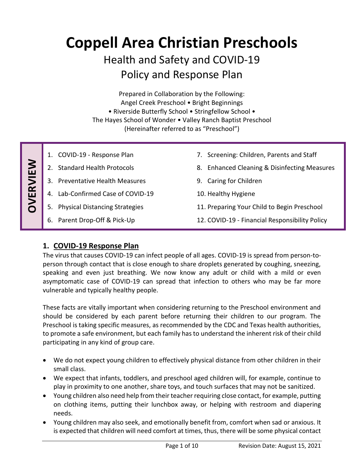# **Coppell Area Christian Preschools**

## Health and Safety and COVID-19 Policy and Response Plan

Prepared in Collaboration by the Following: Angel Creek Preschool • Bright Beginnings • Riverside Butterfly School • Stringfellow School • The Hayes School of Wonder • Valley Ranch Baptist Preschool (Hereinafter referred to as "Preschool")

| VERVIEW | COVID-19 - Response Plan              | 7. Screening: Children, Parents and Staff                  |
|---------|---------------------------------------|------------------------------------------------------------|
|         | <b>Standard Health Protocols</b>      | <b>Enhanced Cleaning &amp; Disinfecting Measures</b><br>8. |
|         | 3. Preventative Health Measures       | Caring for Children<br>9.                                  |
|         | 4. Lab-Confirmed Case of COVID-19     | 10. Healthy Hygiene                                        |
|         | <b>Physical Distancing Strategies</b> | 11. Preparing Your Child to Begin Preschool                |
|         | Parent Drop-Off & Pick-Up             | 12. COVID-19 - Financial Responsibility Policy             |

## **1. COVID-19 Response Plan**

The virus that causes COVID-19 can infect people of all ages. COVID-19 is spread from person-toperson through contact that is close enough to share droplets generated by coughing, sneezing, speaking and even just breathing. We now know any adult or child with a mild or even asymptomatic case of COVID-19 can spread that infection to others who may be far more vulnerable and typically healthy people.

These facts are vitally important when considering returning to the Preschool environment and should be considered by each parent before returning their children to our program. The Preschool is taking specific measures, as recommended by the CDC and Texas health authorities, to promote a safe environment, but each family has to understand the inherent risk of their child participating in any kind of group care.

- We do not expect young children to effectively physical distance from other children in their small class.
- We expect that infants, toddlers, and preschool aged children will, for example, continue to play in proximity to one another, share toys, and touch surfaces that may not be sanitized.
- Young children also need help from their teacher requiring close contact, for example, putting on clothing items, putting their lunchbox away, or helping with restroom and diapering needs.
- Young children may also seek, and emotionally benefit from, comfort when sad or anxious. It is expected that children will need comfort at times, thus, there will be some physical contact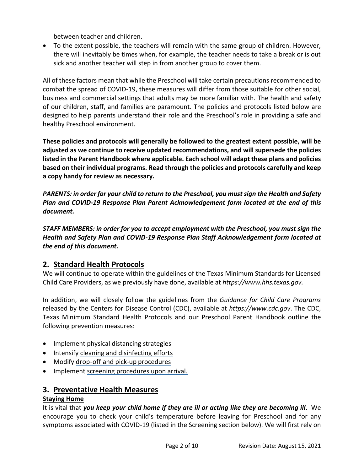between teacher and children.

 To the extent possible, the teachers will remain with the same group of children. However, there will inevitably be times when, for example, the teacher needs to take a break or is out sick and another teacher will step in from another group to cover them.

All of these factors mean that while the Preschool will take certain precautions recommended to combat the spread of COVID-19, these measures will differ from those suitable for other social, business and commercial settings that adults may be more familiar with. The health and safety of our children, staff, and families are paramount. The policies and protocols listed below are designed to help parents understand their role and the Preschool's role in providing a safe and healthy Preschool environment.

**These policies and protocols will generally be followed to the greatest extent possible, will be adjusted as we continue to receive updated recommendations, and will supersede the policies listed in the Parent Handbook where applicable. Each school will adapt these plans and policies based on their individual programs. Read through the policies and protocols carefully and keep a copy handy for review as necessary.**

*PARENTS: in order for your child to return to the Preschool, you must sign the Health and Safety Plan and COVID-19 Response Plan Parent Acknowledgement form located at the end of this document.*

*STAFF MEMBERS: in order for you to accept employment with the Preschool, you must sign the Health and Safety Plan and COVID-19 Response Plan Staff Acknowledgement form located at the end of this document.*

## **2. Standard Health Protocols**

We will continue to operate within the guidelines of the Texas Minimum Standards for Licensed Child Care Providers, as we previously have done, available at *https://www.hhs.texas.gov.*

In addition, we will closely follow the guidelines from the *Guidance for Child Care Programs* released by the Centers for Disease Control (CDC), available at *https://www.cdc.gov*. The CDC, Texas Minimum Standard Health Protocols and our Preschool Parent Handbook outline the following prevention measures:

- Implement physical distancing strategies
- Intensify cleaning and disinfecting efforts
- Modify drop-off and pick-up procedures
- Implement screening procedures upon arrival.

## **3. Preventative Health Measures**

#### **Staying Home**

It is vital that *you keep your child home if they are ill or acting like they are becoming ill*. We encourage you to check your child's temperature before leaving for Preschool and for any symptoms associated with COVID-19 (listed in the Screening section below). We will first rely on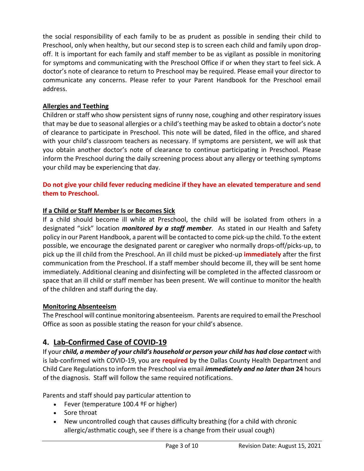the social responsibility of each family to be as prudent as possible in sending their child to Preschool, only when healthy, but our second step is to screen each child and family upon dropoff. It is important for each family and staff member to be as vigilant as possible in monitoring for symptoms and communicating with the Preschool Office if or when they start to feel sick. A doctor's note of clearance to return to Preschool may be required. Please email your director to communicate any concerns. Please refer to your Parent Handbook for the Preschool email address.

#### **Allergies and Teething**

Children or staff who show persistent signs of runny nose, coughing and other respiratory issues that may be due to seasonal allergies or a child's teething may be asked to obtain a doctor's note of clearance to participate in Preschool. This note will be dated, filed in the office, and shared with your child's classroom teachers as necessary. If symptoms are persistent, we will ask that you obtain another doctor's note of clearance to continue participating in Preschool. Please inform the Preschool during the daily screening process about any allergy or teething symptoms your child may be experiencing that day.

#### **Do not give your child fever reducing medicine if they have an elevated temperature and send them to Preschool.**

#### **If a Child or Staff Member Is or Becomes Sick**

If a child should become ill while at Preschool, the child will be isolated from others in a designated "sick" location *monitored by a staff member*. As stated in our Health and Safety policy in our Parent Handbook, a parent will be contacted to come pick-up the child. To the extent possible, we encourage the designated parent or caregiver who normally drops-off/picks-up, to pick up the ill child from the Preschool. An ill child must be picked-up **immediately** after the first communication from the Preschool. If a staff member should become ill, they will be sent home immediately. Additional cleaning and disinfecting will be completed in the affected classroom or space that an ill child or staff member has been present. We will continue to monitor the health of the children and staff during the day.

#### **Monitoring Absenteeism**

The Preschool will continue monitoring absenteeism. Parents are required to email the Preschool Office as soon as possible stating the reason for your child's absence.

## **4. Lab-Confirmed Case of COVID-19**

If your *child, a member of your child's household or person your child has had close contact* with is lab-confirmed with COVID-19, you are **required** by the Dallas County Health Department and Child Care Regulationsto inform the Preschool via email *immediately and no later than* **24** hours of the diagnosis. Staff will follow the same required notifications.

Parents and staff should pay particular attention to

- Fever (temperature 100.4 ºF or higher)
- Sore throat
- New uncontrolled cough that causes difficulty breathing (for a child with chronic allergic/asthmatic cough, see if there is a change from their usual cough)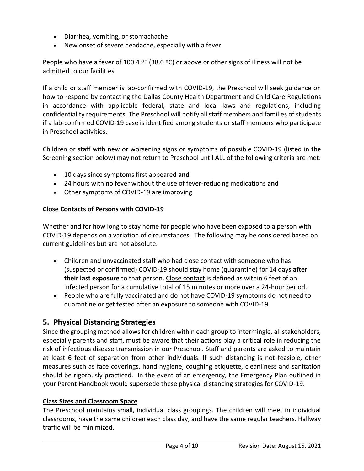- Diarrhea, vomiting, or stomachache
- New onset of severe headache, especially with a fever

People who have a fever of 100.4  $9F$  (38.0  $9C$ ) or above or other signs of illness will not be admitted to our facilities.

If a child or staff member is lab-confirmed with COVID-19, the Preschool will seek guidance on how to respond by contacting the Dallas County Health Department and Child Care Regulations in accordance with applicable federal, state and local laws and regulations, including confidentiality requirements. The Preschool will notify all staff members and families of students if a lab-confirmed COVID-19 case is identified among students or staff members who participate in Preschool activities.

Children or staff with new or worsening signs or symptoms of possible COVID-19 (listed in the Screening section below) may not return to Preschool until ALL of the following criteria are met:

- 10 days since symptoms first appeared **and**
- 24 hours with no fever without the use of fever-reducing medications **and**
- Other symptoms of COVID-19 are improving

#### **Close Contacts of Persons with COVID-19**

Whether and for how long to stay home for people who have been exposed to a person with COVID-19 depends on a variation of circumstances. The following may be considered based on current guidelines but are not absolute.

- Children and unvaccinated staff who had close contact with someone who has (suspected or confirmed) COVID-19 should stay home [\(quarantine\)](https://www.cdc.gov/coronavirus/2019-ncov/if-you-are-sick/quarantine.html) for 14 days **after their last exposure** to that person. [Close contact](https://www.cdc.gov/coronavirus/2019-ncov/php/contact-tracing/contact-tracing-plan/appendix.html#contact) is defined as within 6 feet of an infected person for a cumulative total of 15 minutes or more over a 24-hour period.
- People who are fully vaccinated and do not have COVID-19 symptoms [do not need to](https://www.cdc.gov/coronavirus/2019-ncov/vaccines/fully-vaccinated.html#vaccinated)  [quarantine or get tested](https://www.cdc.gov/coronavirus/2019-ncov/vaccines/fully-vaccinated.html#vaccinated) after an exposure to someone with COVID-19.

#### **5. Physical Distancing Strategies**

Since the grouping method allows for children within each group to intermingle, all stakeholders, especially parents and staff, must be aware that their actions play a critical role in reducing the risk of infectious disease transmission in our Preschool. Staff and parents are asked to maintain at least 6 feet of separation from other individuals. If such distancing is not feasible, other measures such as face coverings, hand hygiene, coughing etiquette, cleanliness and sanitation should be rigorously practiced. In the event of an emergency, the Emergency Plan outlined in your Parent Handbook would supersede these physical distancing strategies for COVID-19.

#### **Class Sizes and Classroom Space**

The Preschool maintains small, individual class groupings. The children will meet in individual classrooms, have the same children each class day, and have the same regular teachers. Hallway traffic will be minimized.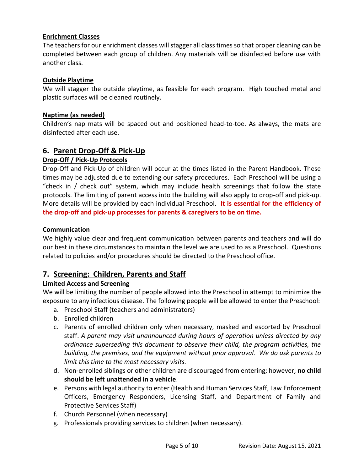#### **Enrichment Classes**

The teachers for our enrichment classes will stagger all class times so that proper cleaning can be completed between each group of children. Any materials will be disinfected before use with another class.

#### **Outside Playtime**

We will stagger the outside playtime, as feasible for each program. High touched metal and plastic surfaces will be cleaned routinely.

#### **Naptime (as needed)**

Children's nap mats will be spaced out and positioned head-to-toe. As always, the mats are disinfected after each use.

#### **6. Parent Drop-Off & Pick-Up**

#### **Drop-Off / Pick-Up Protocols**

Drop-Off and Pick-Up of children will occur at the times listed in the Parent Handbook. These times may be adjusted due to extending our safety procedures. Each Preschool will be using a "check in / check out" system, which may include health screenings that follow the state protocols. The limiting of parent access into the building will also apply to drop-off and pick-up. More details will be provided by each individual Preschool. **It is essential for the efficiency of the drop-off and pick-up processes for parents & caregivers to be on time.**

#### **Communication**

We highly value clear and frequent communication between parents and teachers and will do our best in these circumstances to maintain the level we are used to as a Preschool. Questions related to policies and/or procedures should be directed to the Preschool office.

#### **7. Screening: Children, Parents and Staff**

#### **Limited Access and Screening**

We will be limiting the number of people allowed into the Preschool in attempt to minimize the exposure to any infectious disease. The following people will be allowed to enter the Preschool:

- a. Preschool Staff (teachers and administrators)
- b. Enrolled children
- c. Parents of enrolled children only when necessary, masked and escorted by Preschool staff. *A parent may visit unannounced during hours of operation unless directed by any ordinance superseding this document to observe their child, the program activities, the building, the premises, and the equipment without prior approval. We do ask parents to limit this time to the most necessary visits.*
- d. Non-enrolled siblings or other children are discouraged from entering; however, **no child should be left unattended in a vehicle**.
- e. Persons with legal authority to enter (Health and Human Services Staff, Law Enforcement Officers, Emergency Responders, Licensing Staff, and Department of Family and Protective Services Staff)
- f. Church Personnel (when necessary)
- g. Professionals providing services to children (when necessary).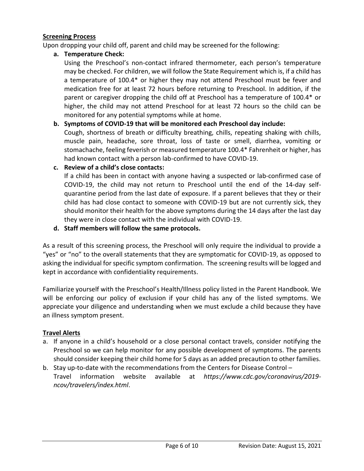#### **Screening Process**

Upon dropping your child off, parent and child may be screened for the following:

**a. Temperature Check:** 

Using the Preschool's non-contact infrared thermometer, each person's temperature may be checked. For children, we will follow the State Requirement which is, if a child has a temperature of 100.4\* or higher they may not attend Preschool must be fever and medication free for at least 72 hours before returning to Preschool. In addition, if the parent or caregiver dropping the child off at Preschool has a temperature of 100.4\* or higher, the child may not attend Preschool for at least 72 hours so the child can be monitored for any potential symptoms while at home.

#### **b. Symptoms of COVID-19 that will be monitored each Preschool day include:**

Cough, shortness of breath or difficulty breathing, chills, repeating shaking with chills, muscle pain, headache, sore throat, loss of taste or smell, diarrhea, vomiting or stomachache, feeling feverish or measured temperature 100.4\* Fahrenheit or higher, has had known contact with a person lab-confirmed to have COVID-19.

**c. Review of a child's close contacts:**

If a child has been in contact with anyone having a suspected or lab-confirmed case of COVID-19, the child may not return to Preschool until the end of the 14-day selfquarantine period from the last date of exposure. If a parent believes that they or their child has had close contact to someone with COVID-19 but are not currently sick, they should monitor their health for the above symptoms during the 14 days after the last day they were in close contact with the individual with COVID-19.

**d. Staff members will follow the same protocols.**

As a result of this screening process, the Preschool will only require the individual to provide a "yes" or "no" to the overall statements that they are symptomatic for COVID-19, as opposed to asking the individual for specific symptom confirmation. The screening results will be logged and kept in accordance with confidentiality requirements.

Familiarize yourself with the Preschool's Health/Illness policy listed in the Parent Handbook. We will be enforcing our policy of exclusion if your child has any of the listed symptoms. We appreciate your diligence and understanding when we must exclude a child because they have an illness symptom present.

#### **Travel Alerts**

- a. If anyone in a child's household or a close personal contact travels, consider notifying the Preschool so we can help monitor for any possible development of symptoms. The parents should consider keeping their child home for 5 days as an added precaution to other families.
- b. Stay up-to-date with the recommendations from the Centers for Disease Control Travel information website available at *https://www.cdc.gov/coronavirus/2019 ncov/travelers/index.html*.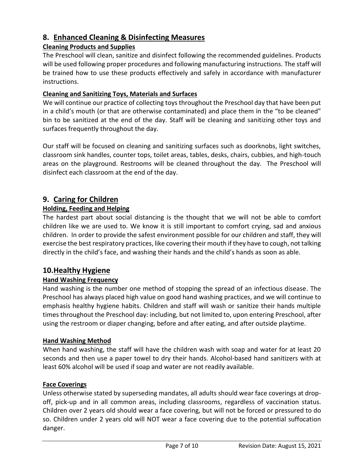## **8. Enhanced Cleaning & Disinfecting Measures**

#### **Cleaning Products and Supplies**

The Preschool will clean, sanitize and disinfect following the recommended guidelines. Products will be used following proper procedures and following manufacturing instructions. The staff will be trained how to use these products effectively and safely in accordance with manufacturer instructions.

#### **Cleaning and Sanitizing Toys, Materials and Surfaces**

We will continue our practice of collecting toys throughout the Preschool day that have been put in a child's mouth (or that are otherwise contaminated) and place them in the "to be cleaned" bin to be sanitized at the end of the day. Staff will be cleaning and sanitizing other toys and surfaces frequently throughout the day.

Our staff will be focused on cleaning and sanitizing surfaces such as doorknobs, light switches, classroom sink handles, counter tops, toilet areas, tables, desks, chairs, cubbies, and high-touch areas on the playground. Restrooms will be cleaned throughout the day. The Preschool will disinfect each classroom at the end of the day.

## **9. Caring for Children**

### **Holding, Feeding and Helping**

The hardest part about social distancing is the thought that we will not be able to comfort children like we are used to. We know it is still important to comfort crying, sad and anxious children. In order to provide the safest environment possible for our children and staff, they will exercise the best respiratory practices, like covering their mouth if they have to cough, not talking directly in the child's face, and washing their hands and the child's hands as soon as able.

## **10.Healthy Hygiene**

#### **Hand Washing Frequency**

Hand washing is the number one method of stopping the spread of an infectious disease. The Preschool has always placed high value on good hand washing practices, and we will continue to emphasis healthy hygiene habits. Children and staff will wash or sanitize their hands multiple times throughout the Preschool day: including, but not limited to, upon entering Preschool, after using the restroom or diaper changing, before and after eating, and after outside playtime.

#### **Hand Washing Method**

When hand washing, the staff will have the children wash with soap and water for at least 20 seconds and then use a paper towel to dry their hands. Alcohol-based hand sanitizers with at least 60% alcohol will be used if soap and water are not readily available.

#### **Face Coverings**

Unless otherwise stated by superseding mandates, all adults should wear face coverings at dropoff, pick-up and in all common areas, including classrooms, regardless of vaccination status. Children over 2 years old should wear a face covering, but will not be forced or pressured to do so. Children under 2 years old will NOT wear a face covering due to the potential suffocation danger.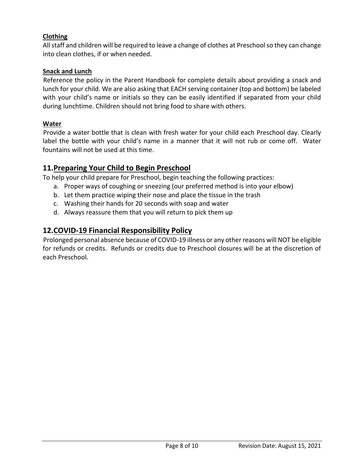#### **Clothing**

All staff and children will be required to leave a change of clothes at Preschool so they can change into clean clothes, if or when needed.

#### **Snack and Lunch**

Reference the policy in the Parent Handbook for complete details about providing a snack and lunch for your child. We are also asking that EACH serving container (top and bottom) be labeled with your child's name or initials so they can be easily identified if separated from your child during lunchtime. Children should not bring food to share with others.

#### **Water**

Provide a water bottle that is clean with fresh water for your child each Preschool day. Clearly label the bottle with your child's name in a manner that it will not rub or come off. Water fountains will not be used at this time.

### **11.Preparing Your Child to Begin Preschool**

To help your child prepare for Preschool, begin teaching the following practices:

- a. Proper ways of coughing or sneezing (our preferred method is into your elbow)
- b. Let them practice wiping their nose and place the tissue in the trash
- c. Washing their hands for 20 seconds with soap and water
- d. Always reassure them that you will return to pick them up

#### **12.COVID-19 Financial Responsibility Policy**

Prolonged personal absence because of COVID-19 illness or any other reasons will NOT be eligible for refunds or credits. Refunds or credits due to Preschool closures will be at the discretion of each Preschool.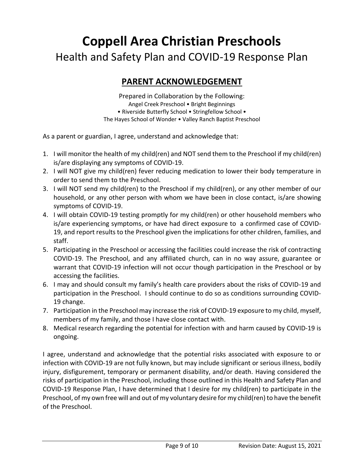## **Coppell Area Christian Preschools** Health and Safety Plan and COVID-19 Response Plan

## **PARENT ACKNOWLEDGEMENT**

Prepared in Collaboration by the Following: Angel Creek Preschool • Bright Beginnings • Riverside Butterfly School • Stringfellow School • The Hayes School of Wonder • Valley Ranch Baptist Preschool

As a parent or guardian, I agree, understand and acknowledge that:

- 1. I will monitor the health of my child(ren) and NOT send them to the Preschool if my child(ren) is/are displaying any symptoms of COVID-19.
- 2. I will NOT give my child(ren) fever reducing medication to lower their body temperature in order to send them to the Preschool.
- 3. I will NOT send my child(ren) to the Preschool if my child(ren), or any other member of our household, or any other person with whom we have been in close contact, is/are showing symptoms of COVID-19.
- 4. I will obtain COVID-19 testing promptly for my child(ren) or other household members who is/are experiencing symptoms, or have had direct exposure to a confirmed case of COVID-19, and report results to the Preschool given the implications for other children, families, and staff.
- 5. Participating in the Preschool or accessing the facilities could increase the risk of contracting COVID-19. The Preschool, and any affiliated church, can in no way assure, guarantee or warrant that COVID-19 infection will not occur though participation in the Preschool or by accessing the facilities.
- 6. I may and should consult my family's health care providers about the risks of COVID-19 and participation in the Preschool. I should continue to do so as conditions surrounding COVID-19 change.
- 7. Participation in the Preschool may increase the risk of COVID-19 exposure to my child, myself, members of my family, and those I have close contact with.
- 8. Medical research regarding the potential for infection with and harm caused by COVID-19 is ongoing.

I agree, understand and acknowledge that the potential risks associated with exposure to or infection with COVID-19 are not fully known, but may include significant or serious illness, bodily injury, disfigurement, temporary or permanent disability, and/or death. Having considered the risks of participation in the Preschool, including those outlined in this Health and Safety Plan and COVID-19 Response Plan, I have determined that I desire for my child(ren) to participate in the Preschool, of my own free will and out of my voluntary desire for my child(ren) to have the benefit of the Preschool.